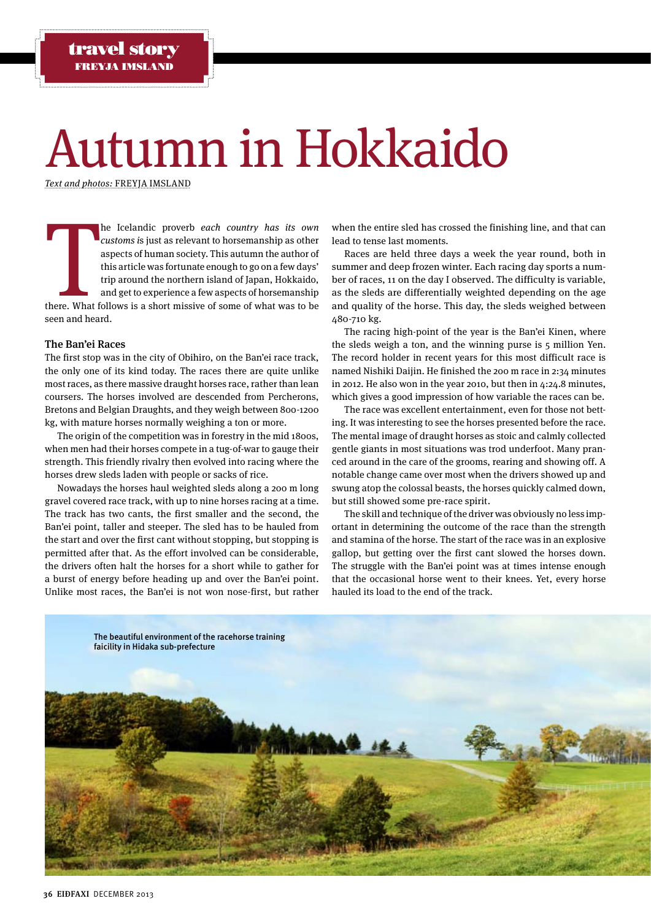# Autumn in Hokkaido

Text and photos: FREYJA IMSLAND

There. What f he Icelandic proverb each country has its own customs is just as relevant to horsemanship as other aspects of human society. This autumn the author of this article was fortunate enough to go on a few days' trip around the northern island of Japan, Hokkaido, and get to experience a few aspects of horsemanship there. What follows is a short missive of some of what was to be seen and heard.

# The Ban'ei Races

The first stop was in the city of Obihiro, on the Ban'ei race track, the only one of its kind today. The races there are quite unlike most races, as there massive draught horses race, rather than lean coursers. The horses involved are descended from Percherons, Bretons and Belgian Draughts, and they weigh between 800-1200 kg, with mature horses normally weighing a ton or more.

The origin of the competition was in forestry in the mid 1800s, when men had their horses compete in a tug-of-war to gauge their strength. This friendly rivalry then evolved into racing where the horses drew sleds laden with people or sacks of rice.

Nowadays the horses haul weighted sleds along a 200 m long gravel covered race track, with up to nine horses racing at a time. The track has two cants, the first smaller and the second, the Ban'ei point, taller and steeper. The sled has to be hauled from the start and over the first cant without stopping, but stopping is permitted after that. As the effort involved can be considerable, the drivers often halt the horses for a short while to gather for a burst of energy before heading up and over the Ban'ei point. Unlike most races, the Ban'ei is not won nose-first, but rather

when the entire sled has crossed the finishing line, and that can lead to tense last moments.

Races are held three days a week the year round, both in summer and deep frozen winter. Each racing day sports a number of races, 11 on the day I observed. The difficulty is variable, as the sleds are differentially weighted depending on the age and quality of the horse. This day, the sleds weighed between 480-710 kg.

The racing high-point of the year is the Ban'ei Kinen, where the sleds weigh a ton, and the winning purse is 5 million Yen. The record holder in recent years for this most difficult race is named Nishiki Daijin. He finished the 200 m race in 2:34 minutes in 2012. He also won in the year 2010, but then in 4:24.8 minutes, which gives a good impression of how variable the races can be.

The race was excellent entertainment, even for those not betting. It was interesting to see the horses presented before the race. The mental image of draught horses as stoic and calmly collected gentle giants in most situations was trod underfoot. Many pranced around in the care of the grooms, rearing and showing off. A notable change came over most when the drivers showed up and swung atop the colossal beasts, the horses quickly calmed down, but still showed some pre-race spirit.

The skill and technique of the driver was obviously no less important in determining the outcome of the race than the strength and stamina of the horse. The start of the race was in an explosive gallop, but getting over the first cant slowed the horses down. The struggle with the Ban'ei point was at times intense enough that the occasional horse went to their knees. Yet, every horse hauled its load to the end of the track.

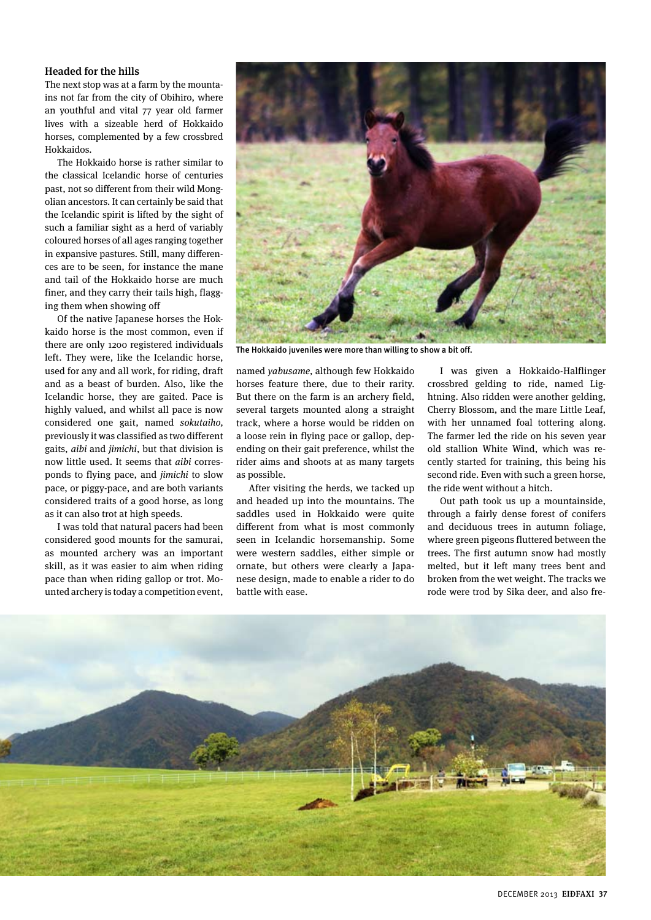## Headed for the hills

The next stop was at a farm by the mountains not far from the city of Obihiro, where an youthful and vital 77 year old farmer lives with a sizeable herd of Hokkaido horses, complemented by a few crossbred Hokkaidos.

The Hokkaido horse is rather similar to the classical Icelandic horse of centuries past, not so different from their wild Mongolian ancestors. It can certainly be said that the Icelandic spirit is lifted by the sight of such a familiar sight as a herd of variably coloured horses of all ages ranging together in expansive pastures. Still, many differences are to be seen, for instance the mane and tail of the Hokkaido horse are much finer, and they carry their tails high, flagging them when showing off

Of the native Japanese horses the Hokkaido horse is the most common, even if there are only 1200 registered individuals left. They were, like the Icelandic horse, used for any and all work, for riding, draft and as a beast of burden. Also, like the Icelandic horse, they are gaited. Pace is highly valued, and whilst all pace is now considered one gait, named sokutaiho, previously it was classified as two different gaits, aibi and jimichi, but that division is now little used. It seems that aibi corresponds to flying pace, and jimichi to slow pace, or piggy-pace, and are both variants considered traits of a good horse, as long as it can also trot at high speeds.

I was told that natural pacers had been considered good mounts for the samurai, as mounted archery was an important skill, as it was easier to aim when riding pace than when riding gallop or trot. Mounted archery is today a competition event,



The Hokkaido juveniles were more than willing to show a bit off.

named yabusame, although few Hokkaido horses feature there, due to their rarity. But there on the farm is an archery field, several targets mounted along a straight track, where a horse would be ridden on a loose rein in flying pace or gallop, depending on their gait preference, whilst the rider aims and shoots at as many targets as possible.

After visiting the herds, we tacked up and headed up into the mountains. The saddles used in Hokkaido were quite different from what is most commonly seen in Icelandic horsemanship. Some were western saddles, either simple or ornate, but others were clearly a Japanese design, made to enable a rider to do battle with ease.

I was given a Hokkaido-Halflinger crossbred gelding to ride, named Lightning. Also ridden were another gelding, Cherry Blossom, and the mare Little Leaf, with her unnamed foal tottering along. The farmer led the ride on his seven year old stallion White Wind, which was recently started for training, this being his second ride. Even with such a green horse, the ride went without a hitch.

Out path took us up a mountainside, through a fairly dense forest of conifers and deciduous trees in autumn foliage, where green pigeons fluttered between the trees. The first autumn snow had mostly melted, but it left many trees bent and broken from the wet weight. The tracks we rode were trod by Sika deer, and also fre-

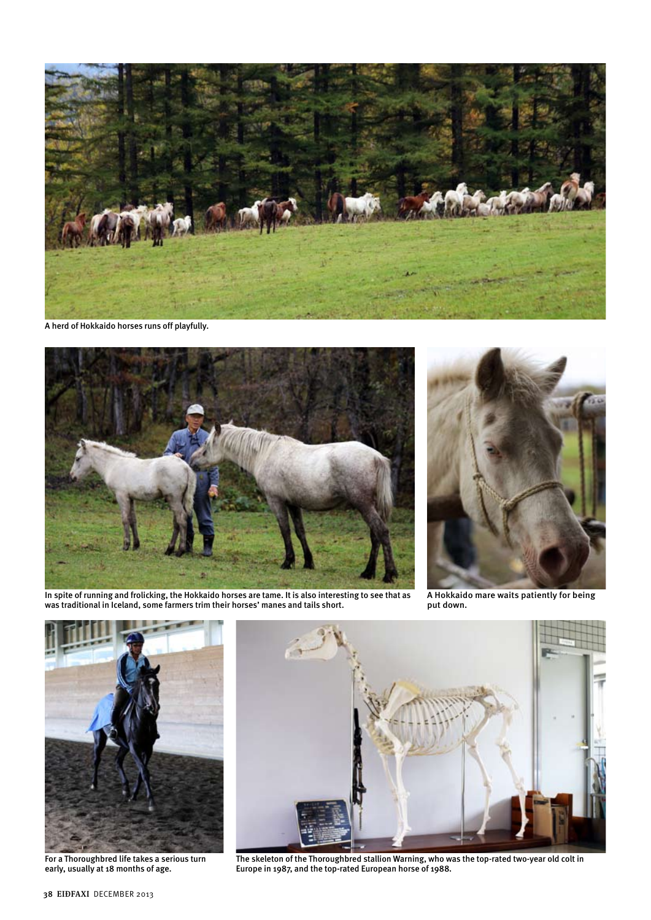

A herd of Hokkaido horses runs off playfully.



In spite of running and frolicking, the Hokkaido horses are tame. It is also interesting to see that as was traditional in Iceland, some farmers trim their horses' manes and tails short.



A Hokkaido mare waits patiently for being put down.



For a Thoroughbred life takes a serious turn early, usually at 18 months of age.



The skeleton of the Thoroughbred stallion Warning, who was the top-rated two-year old colt in Europe in 1987, and the top-rated European horse of 1988.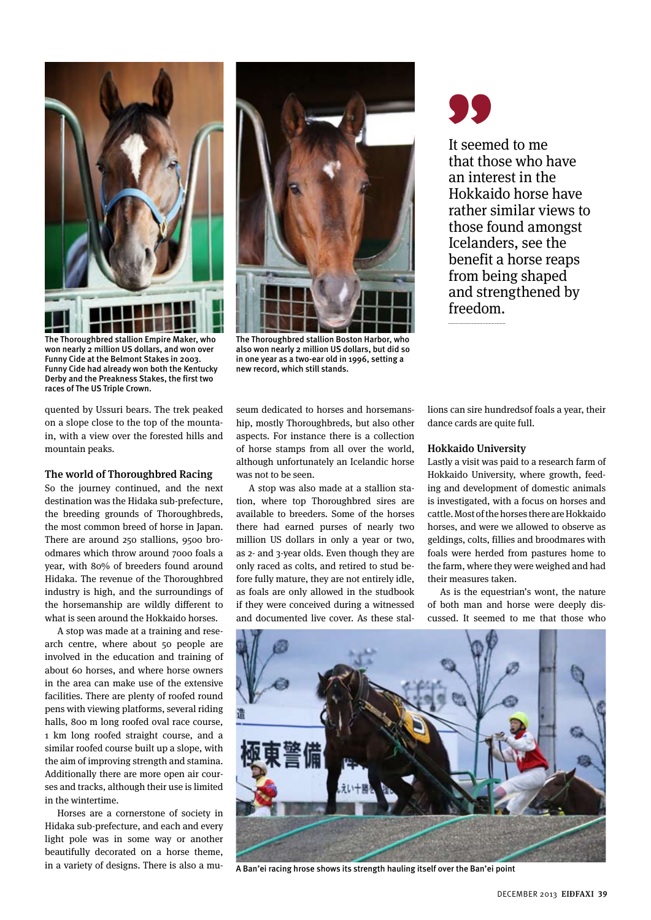

The Thoroughbred stallion Empire Maker, who won nearly 2 million US dollars, and won over Funny Cide at the Belmont Stakes in 2003. Funny Cide had already won both the Kentucky Derby and the Preakness Stakes, the first two races of The US Triple Crown.

quented by Ussuri bears. The trek peaked on a slope close to the top of the mountain, with a view over the forested hills and mountain peaks.

### The world of Thoroughbred Racing

So the journey continued, and the next destination was the Hidaka sub-prefecture, the breeding grounds of Thoroughbreds, the most common breed of horse in Japan. There are around 250 stallions, 9500 broodmares which throw around 7000 foals a year, with 80% of breeders found around Hidaka. The revenue of the Thoroughbred industry is high, and the surroundings of the horsemanship are wildly different to what is seen around the Hokkaido horses.

A stop was made at a training and research centre, where about 50 people are involved in the education and training of about 60 horses, and where horse owners in the area can make use of the extensive facilities. There are plenty of roofed round pens with viewing platforms, several riding halls, 800 m long roofed oval race course, 1 km long roofed straight course, and a similar roofed course built up a slope, with the aim of improving strength and stamina. Additionally there are more open air courses and tracks, although their use is limited in the wintertime.

Horses are a cornerstone of society in Hidaka sub-prefecture, and each and every light pole was in some way or another beautifully decorated on a horse theme, in a variety of designs. There is also a mu-



The Thoroughbred stallion Boston Harbor, who also won nearly 2 million US dollars, but did so in one year as a two-ear old in 1996, setting a new record, which still stands.

It seemed to me that those who have an interest in the Hokkaido horse have rather similar views to those found amongst Icelanders, see the benefit a horse reaps from being shaped and strengthened by freedom.

seum dedicated to horses and horsemanship, mostly Thoroughbreds, but also other aspects. For instance there is a collection of horse stamps from all over the world, although unfortunately an Icelandic horse was not to be seen.

A stop was also made at a stallion station, where top Thoroughbred sires are available to breeders. Some of the horses there had earned purses of nearly two million US dollars in only a year or two, as 2- and 3-year olds. Even though they are only raced as colts, and retired to stud before fully mature, they are not entirely idle, as foals are only allowed in the studbook if they were conceived during a witnessed and documented live cover. As these stallions can sire hundredsof foals a year, their dance cards are quite full.

# Hokkaido University

Lastly a visit was paid to a research farm of Hokkaido University, where growth, feeding and development of domestic animals is investigated, with a focus on horses and cattle. Most of the horses there are Hokkaido horses, and were we allowed to observe as geldings, colts, fillies and broodmares with foals were herded from pastures home to the farm, where they were weighed and had their measures taken.

As is the equestrian's wont, the nature of both man and horse were deeply discussed. It seemed to me that those who



A Ban'ei racing hrose shows its strength hauling itself over the Ban'ei point